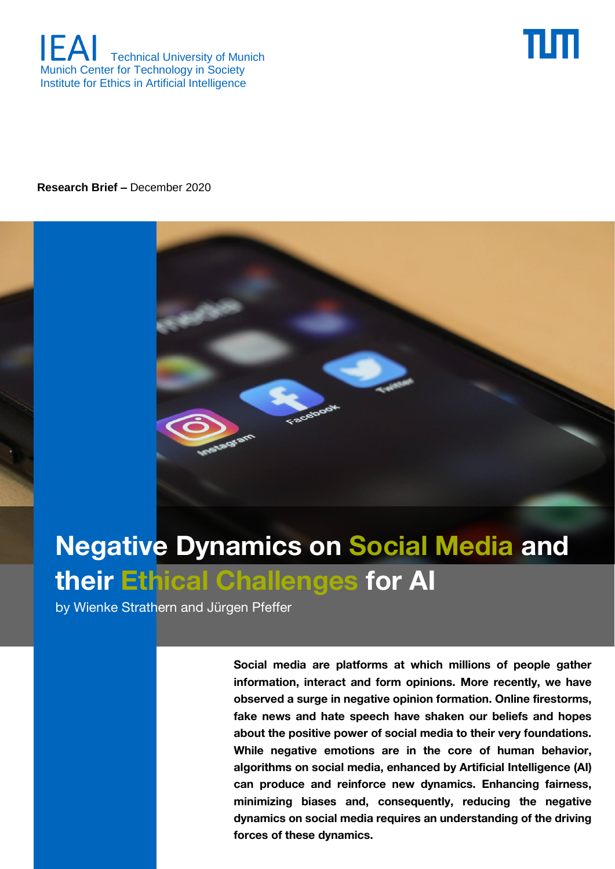



**Research Brief –** December 2020



# **Negative Dynamics on Social Media and their Ethical Challenges for AI**

by Wienke Strathern and Jürgen Pfeffer

<https://ieai.mcts.tum.de/>IEAI Research Brief **1 dynamics on social media requires an understanding of the driving Social media are platforms at which millions of people gather information, interact and form opinions. More recently, we have observed a surge in negative opinion formation. Online firestorms, fake news and hate speech have shaken our beliefs and hopes about the positive power of social media to their very foundations. While negative emotions are in the core of human behavior, algorithms on social media, enhanced by Artificial Intelligence (AI) can produce and reinforce new dynamics. Enhancing fairness, minimizing biases and, consequently, reducing the negative forces of these dynamics.**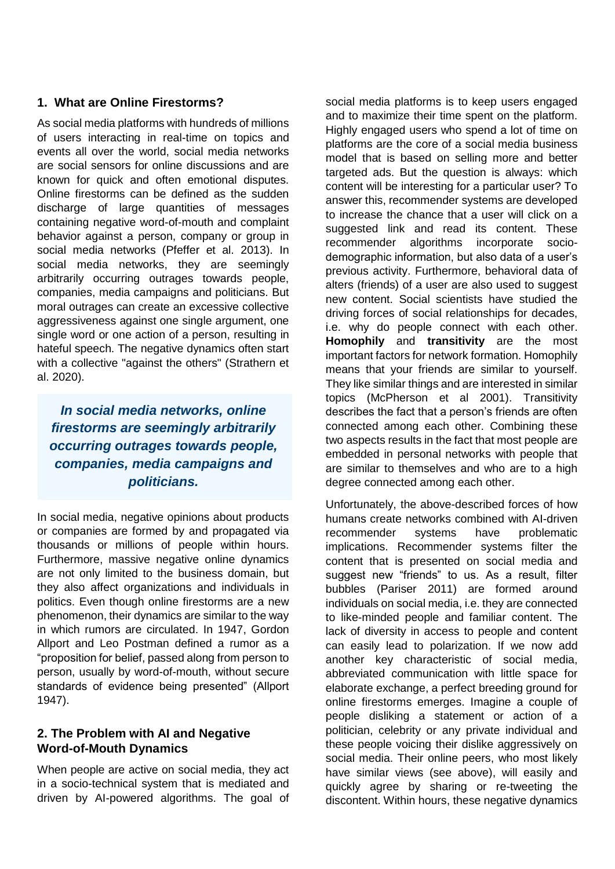## **1. What are Online Firestorms?**

As social media platforms with hundreds of millions of users interacting in real-time on topics and events all over the world, social media networks are social sensors for online discussions and are known for quick and often emotional disputes. Online firestorms can be defined as the sudden discharge of large quantities of messages containing negative word-of-mouth and complaint behavior against a person, company or group in social media networks (Pfeffer et al. 2013). In social media networks, they are seemingly arbitrarily occurring outrages towards people, companies, media campaigns and politicians. But moral outrages can create an excessive collective aggressiveness against one single argument, one single word or one action of a person, resulting in hateful speech. The negative dynamics often start with a collective "against the others" (Strathern et al. 2020).

*In social media networks, online firestorms are seemingly arbitrarily occurring outrages towards people, companies, media campaigns and politicians.* 

In social media, negative opinions about products or companies are formed by and propagated via thousands or millions of people within hours. Furthermore, massive negative online dynamics are not only limited to the business domain, but they also affect organizations and individuals in politics. Even though online firestorms are a new phenomenon, their dynamics are similar to the way in which rumors are circulated. In 1947, Gordon Allport and Leo Postman defined a rumor as a "proposition for belief, passed along from person to person, usually by word-of-mouth, without secure standards of evidence being presented" (Allport 1947).

## **2. The Problem with AI and Negative Word-of-Mouth Dynamics**

When people are active on social media, they act in a socio-technical system that is mediated and driven by AI-powered algorithms. The goal of social media platforms is to keep users engaged and to maximize their time spent on the platform. Highly engaged users who spend a lot of time on platforms are the core of a social media business model that is based on selling more and better targeted ads. But the question is always: which content will be interesting for a particular user? To answer this, recommender systems are developed to increase the chance that a user will click on a suggested link and read its content. These recommender algorithms incorporate sociodemographic information, but also data of a user's previous activity. Furthermore, behavioral data of alters (friends) of a user are also used to suggest new content. Social scientists have studied the driving forces of social relationships for decades, i.e. why do people connect with each other. **Homophily** and **transitivity** are the most important factors for network formation. Homophily means that your friends are similar to yourself. They like similar things and are interested in similar topics (McPherson et al 2001). Transitivity describes the fact that a person's friends are often connected among each other. Combining these two aspects results in the fact that most people are embedded in personal networks with people that are similar to themselves and who are to a high degree connected among each other.

Unfortunately, the above-described forces of how humans create networks combined with AI-driven recommender systems have problematic implications. Recommender systems filter the content that is presented on social media and suggest new "friends" to us. As a result, filter bubbles (Pariser 2011) are formed around individuals on social media, i.e. they are connected to like-minded people and familiar content. The lack of diversity in access to people and content can easily lead to polarization. If we now add another key characteristic of social media, abbreviated communication with little space for elaborate exchange, a perfect breeding ground for online firestorms emerges. Imagine a couple of people disliking a statement or action of a politician, celebrity or any private individual and these people voicing their dislike aggressively on social media. Their online peers, who most likely have similar views (see above), will easily and quickly agree by sharing or re-tweeting the discontent. Within hours, these negative dynamics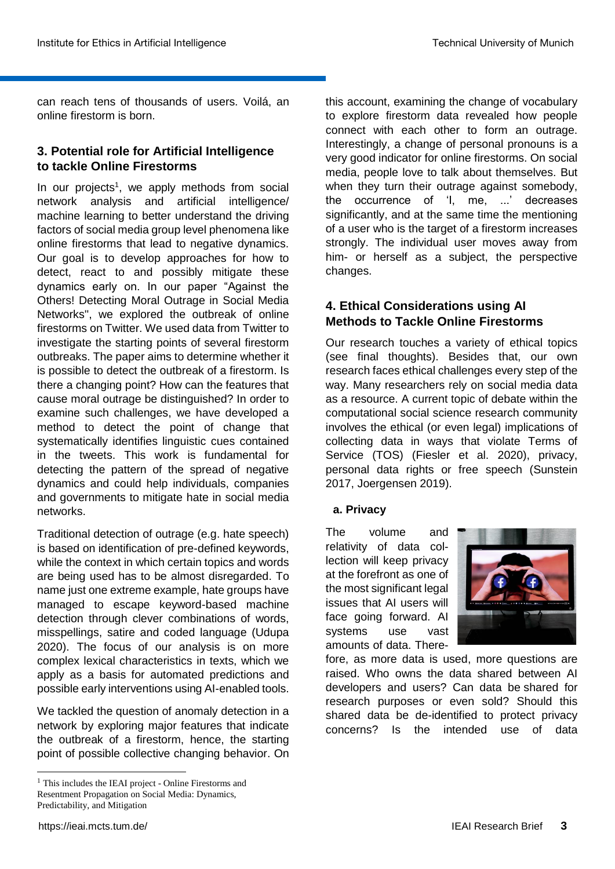can reach tens of thousands of users. Voilá, an online firestorm is born.

# **3. Potential role for Artificial Intelligence to tackle Online Firestorms**

In our projects<sup>1</sup>, we apply methods from social network analysis and artificial intelligence/ machine learning to better understand the driving factors of social media group level phenomena like online firestorms that lead to negative dynamics. Our goal is to develop approaches for how to detect, react to and possibly mitigate these dynamics early on. In our paper "Against the Others! Detecting Moral Outrage in Social Media Networks'', we explored the outbreak of online firestorms on Twitter. We used data from Twitter to investigate the starting points of several firestorm outbreaks. The paper aims to determine whether it is possible to detect the outbreak of a firestorm. Is there a changing point? How can the features that cause moral outrage be distinguished? In order to examine such challenges, we have developed a method to detect the point of change that systematically identifies linguistic cues contained in the tweets. This work is fundamental for detecting the pattern of the spread of negative dynamics and could help individuals, companies and governments to mitigate hate in social media networks.

Traditional detection of outrage (e.g. hate speech) is based on identification of pre-defined keywords, while the context in which certain topics and words are being used has to be almost disregarded. To name just one extreme example, hate groups have managed to escape keyword-based machine detection through clever combinations of words, misspellings, satire and coded language (Udupa 2020). The focus of our analysis is on more complex lexical characteristics in texts, which we apply as a basis for automated predictions and possible early interventions using AI-enabled tools.

We tackled the question of anomaly detection in a network by exploring major features that indicate the outbreak of a firestorm, hence, the starting point of possible collective changing behavior. On this account, examining the change of vocabulary to explore firestorm data revealed how people connect with each other to form an outrage. Interestingly, a change of personal pronouns is a very good indicator for online firestorms. On social media, people love to talk about themselves. But when they turn their outrage against somebody, the occurrence of 'I, me, ...' decreases significantly, and at the same time the mentioning of a user who is the target of a firestorm increases strongly. The individual user moves away from him- or herself as a subject, the perspective changes.

# **4. Ethical Considerations using AI Methods to Tackle Online Firestorms**

Our research touches a variety of ethical topics (see final thoughts). Besides that, our own research faces ethical challenges every step of the way. Many researchers rely on social media data as a resource. A current topic of debate within the computational social science research community involves the ethical (or even legal) implications of collecting data in ways that violate Terms of Service (TOS) (Fiesler et al. 2020), privacy, personal data rights or free speech (Sunstein 2017, Joergensen 2019).

#### **a. Privacy**

The volume and relativity of data collection will keep privacy at the forefront as one of the most significant legal issues that AI users will face going forward. AI systems use vast amounts of data. There-



fore, as more data is used, more questions are raised. Who owns the data shared between AI developers and users? Can data be shared for research purposes or even sold? Should this shared data be de-identified to protect privacy concerns? Is the intended use of data

**.** 

<sup>&</sup>lt;sup>1</sup> This includes the IEAI project - Online Firestorms and Resentment Propagation on Social Media: Dynamics, Predictability, and Mitigation